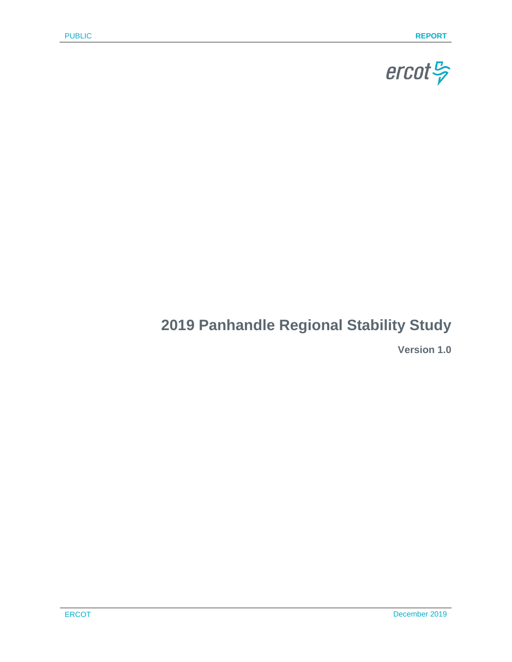

# **2019 Panhandle Regional Stability Study**

**Version 1.0**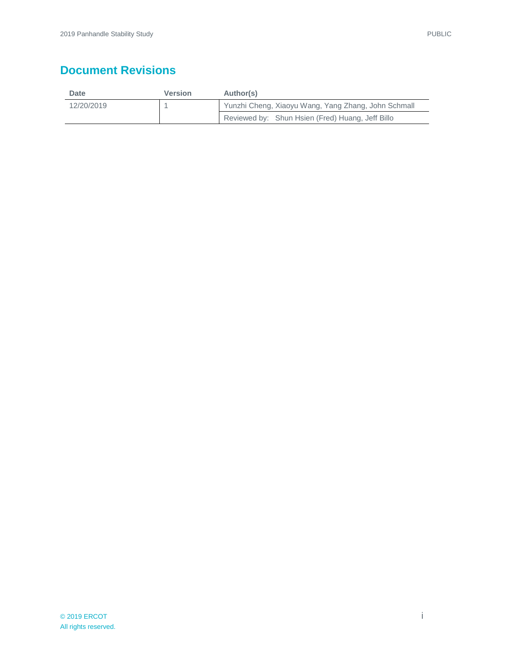## **Document Revisions**

| Date       | Version | Author(s)                                           |  |
|------------|---------|-----------------------------------------------------|--|
| 12/20/2019 |         | Yunzhi Cheng, Xiaoyu Wang, Yang Zhang, John Schmall |  |
|            |         | Reviewed by: Shun Hsien (Fred) Huang, Jeff Billo    |  |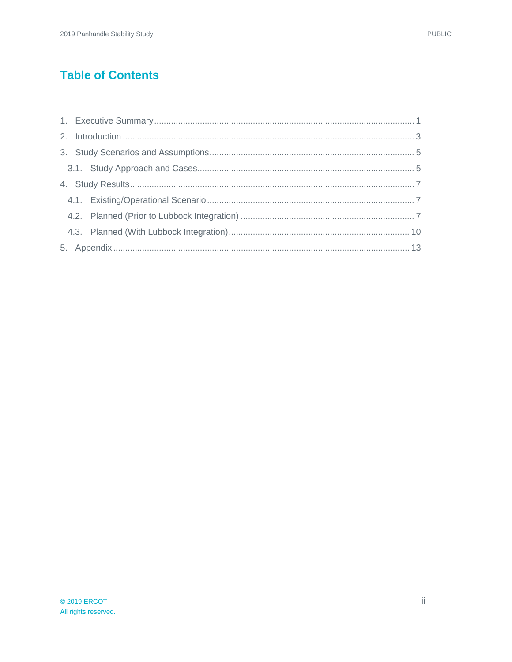### **Table of Contents**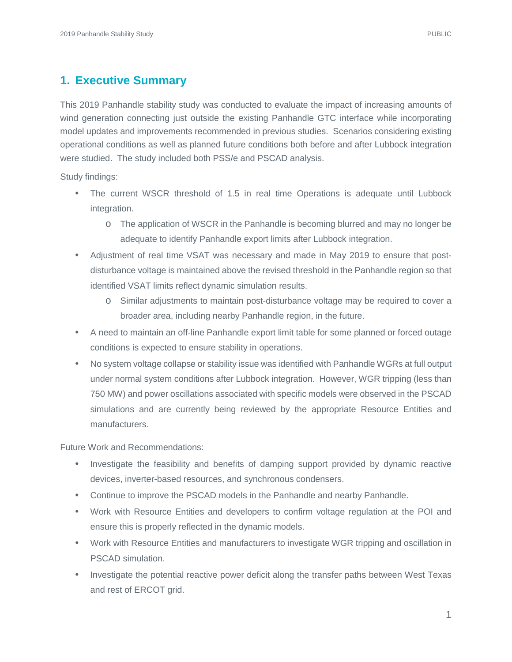### <span id="page-3-0"></span>**1. Executive Summary**

This 2019 Panhandle stability study was conducted to evaluate the impact of increasing amounts of wind generation connecting just outside the existing Panhandle GTC interface while incorporating model updates and improvements recommended in previous studies. Scenarios considering existing operational conditions as well as planned future conditions both before and after Lubbock integration were studied. The study included both PSS/e and PSCAD analysis.

Study findings:

- The current WSCR threshold of 1.5 in real time Operations is adequate until Lubbock integration.
	- o The application of WSCR in the Panhandle is becoming blurred and may no longer be adequate to identify Panhandle export limits after Lubbock integration.
- Adjustment of real time VSAT was necessary and made in May 2019 to ensure that postdisturbance voltage is maintained above the revised threshold in the Panhandle region so that identified VSAT limits reflect dynamic simulation results.
	- o Similar adjustments to maintain post-disturbance voltage may be required to cover a broader area, including nearby Panhandle region, in the future.
- A need to maintain an off-line Panhandle export limit table for some planned or forced outage conditions is expected to ensure stability in operations.
- No system voltage collapse or stability issue was identified with Panhandle WGRs at full output under normal system conditions after Lubbock integration. However, WGR tripping (less than 750 MW) and power oscillations associated with specific models were observed in the PSCAD simulations and are currently being reviewed by the appropriate Resource Entities and manufacturers.

Future Work and Recommendations:

- Investigate the feasibility and benefits of damping support provided by dynamic reactive devices, inverter-based resources, and synchronous condensers.
- Continue to improve the PSCAD models in the Panhandle and nearby Panhandle.
- Work with Resource Entities and developers to confirm voltage regulation at the POI and ensure this is properly reflected in the dynamic models.
- Work with Resource Entities and manufacturers to investigate WGR tripping and oscillation in PSCAD simulation.
- Investigate the potential reactive power deficit along the transfer paths between West Texas and rest of ERCOT grid.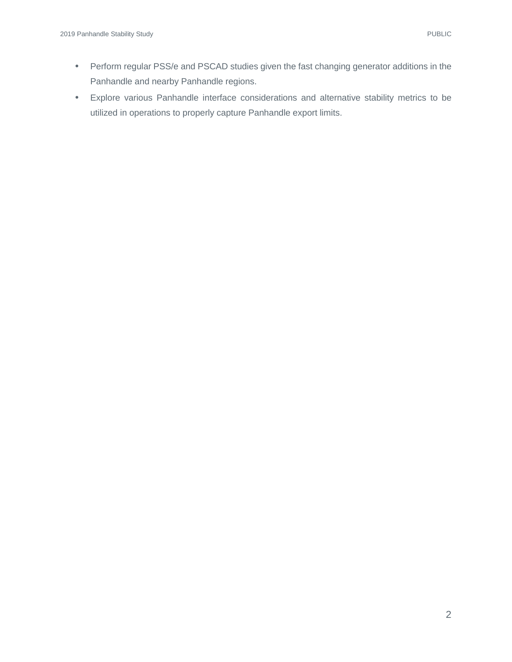- Perform regular PSS/e and PSCAD studies given the fast changing generator additions in the Panhandle and nearby Panhandle regions.
- Explore various Panhandle interface considerations and alternative stability metrics to be utilized in operations to properly capture Panhandle export limits.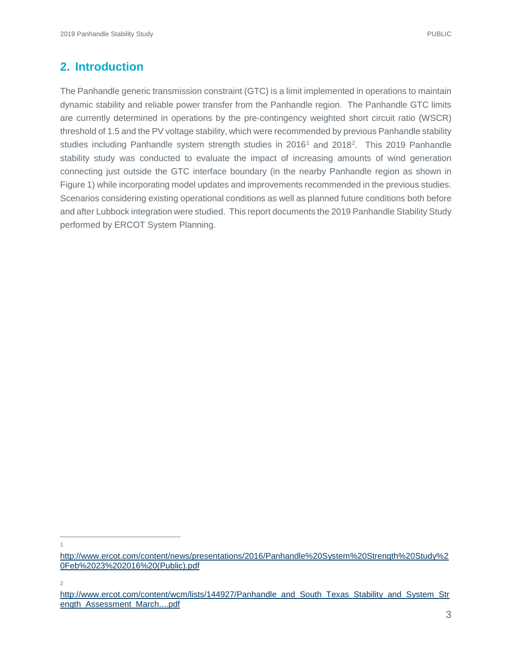### <span id="page-5-0"></span>**2. Introduction**

The Panhandle generic transmission constraint (GTC) is a limit implemented in operations to maintain dynamic stability and reliable power transfer from the Panhandle region. The Panhandle GTC limits are currently determined in operations by the pre-contingency weighted short circuit ratio (WSCR) threshold of 1.5 and the PV voltage stability, which were recommended by previous Panhandle stability studies including Panhandle system strength studies in  $2016<sup>1</sup>$  $2016<sup>1</sup>$  $2016<sup>1</sup>$  and  $2018<sup>2</sup>$ . This 2019 Panhandle stability study was conducted to evaluate the impact of increasing amounts of wind generation connecting just outside the GTC interface boundary (in the nearby Panhandle region as shown in Figure 1) while incorporating model updates and improvements recommended in the previous studies. Scenarios considering existing operational conditions as well as planned future conditions both before and after Lubbock integration were studied. This report documents the 2019 Panhandle Stability Study performed by ERCOT System Planning.

2

 $\overline{1}$ 

<span id="page-5-1"></span>[http://www.ercot.com/content/news/presentations/2016/Panhandle%20System%20Strength%20Study%2](http://www.ercot.com/content/news/presentations/2016/Panhandle%20System%20Strength%20Study%20Feb%2023%202016%20(Public).pdf) [0Feb%2023%202016%20\(Public\).pdf](http://www.ercot.com/content/news/presentations/2016/Panhandle%20System%20Strength%20Study%20Feb%2023%202016%20(Public).pdf)

<span id="page-5-2"></span>[http://www.ercot.com/content/wcm/lists/144927/Panhandle\\_and\\_South\\_Texas\\_Stability\\_and\\_System\\_Str](http://www.ercot.com/content/wcm/lists/144927/Panhandle_and_South_Texas_Stability_and_System_Strength_Assessment_March....pdf) [ength\\_Assessment\\_March....pdf](http://www.ercot.com/content/wcm/lists/144927/Panhandle_and_South_Texas_Stability_and_System_Strength_Assessment_March....pdf)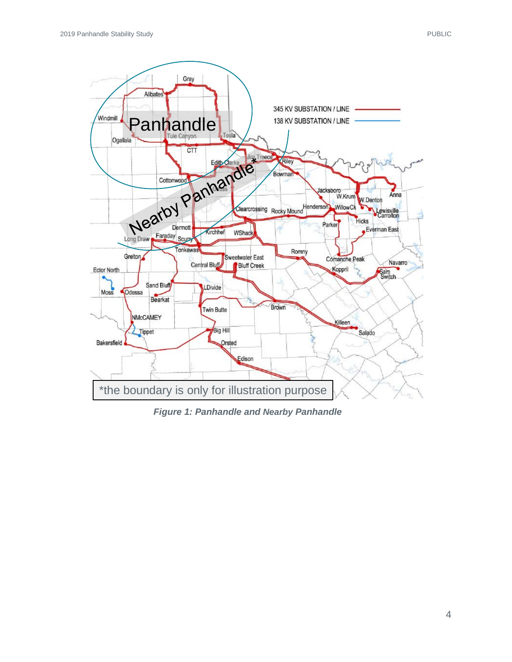

*Figure 1: Panhandle and Nearby Panhandle*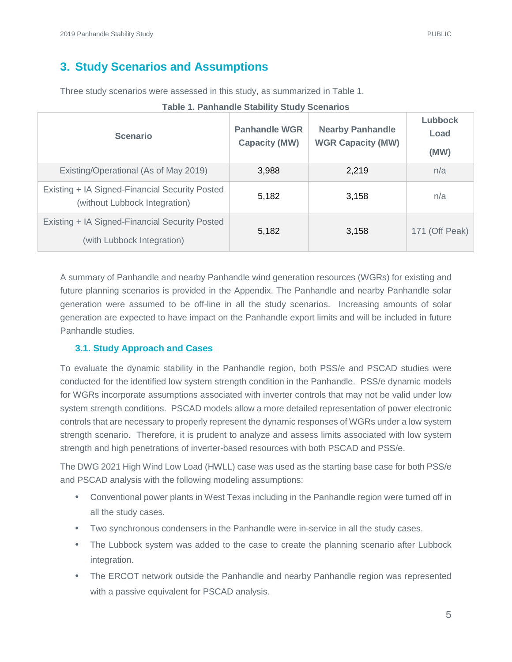### <span id="page-7-0"></span>**3. Study Scenarios and Assumptions**

Three study scenarios were assessed in this study, as summarized in Table 1.

| <b>Scenario</b>                                                                 | <b>Panhandle WGR</b><br><b>Capacity (MW)</b> | <b>Nearby Panhandle</b><br><b>WGR Capacity (MW)</b> | Lubbock<br>Load<br>(MW) |
|---------------------------------------------------------------------------------|----------------------------------------------|-----------------------------------------------------|-------------------------|
| Existing/Operational (As of May 2019)                                           | 3,988                                        | 2,219                                               | n/a                     |
| Existing + IA Signed-Financial Security Posted<br>(without Lubbock Integration) | 5,182                                        | 3,158                                               | n/a                     |
| Existing + IA Signed-Financial Security Posted<br>(with Lubbock Integration)    | 5,182                                        | 3,158                                               | 171 (Off Peak)          |

|  | <b>Table 1. Panhandle Stability Study Scenarios</b> |  |  |
|--|-----------------------------------------------------|--|--|
|  |                                                     |  |  |

A summary of Panhandle and nearby Panhandle wind generation resources (WGRs) for existing and future planning scenarios is provided in the Appendix. The Panhandle and nearby Panhandle solar generation were assumed to be off-line in all the study scenarios. Increasing amounts of solar generation are expected to have impact on the Panhandle export limits and will be included in future Panhandle studies.

#### <span id="page-7-1"></span>**3.1. Study Approach and Cases**

To evaluate the dynamic stability in the Panhandle region, both PSS/e and PSCAD studies were conducted for the identified low system strength condition in the Panhandle. PSS/e dynamic models for WGRs incorporate assumptions associated with inverter controls that may not be valid under low system strength conditions. PSCAD models allow a more detailed representation of power electronic controls that are necessary to properly represent the dynamic responses of WGRs under a low system strength scenario. Therefore, it is prudent to analyze and assess limits associated with low system strength and high penetrations of inverter-based resources with both PSCAD and PSS/e.

The DWG 2021 High Wind Low Load (HWLL) case was used as the starting base case for both PSS/e and PSCAD analysis with the following modeling assumptions:

- Conventional power plants in West Texas including in the Panhandle region were turned off in all the study cases.
- Two synchronous condensers in the Panhandle were in-service in all the study cases.
- The Lubbock system was added to the case to create the planning scenario after Lubbock integration.
- The ERCOT network outside the Panhandle and nearby Panhandle region was represented with a passive equivalent for PSCAD analysis.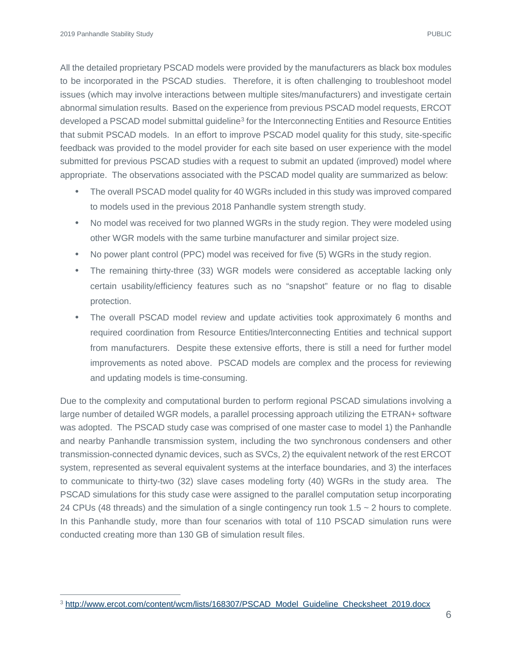All the detailed proprietary PSCAD models were provided by the manufacturers as black box modules to be incorporated in the PSCAD studies. Therefore, it is often challenging to troubleshoot model issues (which may involve interactions between multiple sites/manufacturers) and investigate certain abnormal simulation results. Based on the experience from previous PSCAD model requests, ERCOT developed a PSCAD model submittal guideline<sup>3</sup> for the Interconnecting Entities and Resource Entities that submit PSCAD models. In an effort to improve PSCAD model quality for this study, site-specific feedback was provided to the model provider for each site based on user experience with the model submitted for previous PSCAD studies with a request to submit an updated (improved) model where appropriate. The observations associated with the PSCAD model quality are summarized as below:

- The overall PSCAD model quality for 40 WGRs included in this study was improved compared to models used in the previous 2018 Panhandle system strength study.
- No model was received for two planned WGRs in the study region. They were modeled using other WGR models with the same turbine manufacturer and similar project size.
- No power plant control (PPC) model was received for five (5) WGRs in the study region.
- The remaining thirty-three (33) WGR models were considered as acceptable lacking only certain usability/efficiency features such as no "snapshot" feature or no flag to disable protection.
- The overall PSCAD model review and update activities took approximately 6 months and required coordination from Resource Entities/Interconnecting Entities and technical support from manufacturers. Despite these extensive efforts, there is still a need for further model improvements as noted above. PSCAD models are complex and the process for reviewing and updating models is time-consuming.

Due to the complexity and computational burden to perform regional PSCAD simulations involving a large number of detailed WGR models, a parallel processing approach utilizing the ETRAN+ software was adopted. The PSCAD study case was comprised of one master case to model 1) the Panhandle and nearby Panhandle transmission system, including the two synchronous condensers and other transmission-connected dynamic devices, such as SVCs, 2) the equivalent network of the rest ERCOT system, represented as several equivalent systems at the interface boundaries, and 3) the interfaces to communicate to thirty-two (32) slave cases modeling forty (40) WGRs in the study area. The PSCAD simulations for this study case were assigned to the parallel computation setup incorporating 24 CPUs (48 threads) and the simulation of a single contingency run took 1.5 ~ 2 hours to complete. In this Panhandle study, more than four scenarios with total of 110 PSCAD simulation runs were conducted creating more than 130 GB of simulation result files.

<span id="page-8-0"></span><sup>&</sup>lt;sup>3</sup> [http://www.ercot.com/content/wcm/lists/168307/PSCAD\\_Model\\_Guideline\\_Checksheet\\_2019.docx](http://www.ercot.com/content/wcm/lists/168307/PSCAD_Model_Guideline_Checksheet_2019.docx)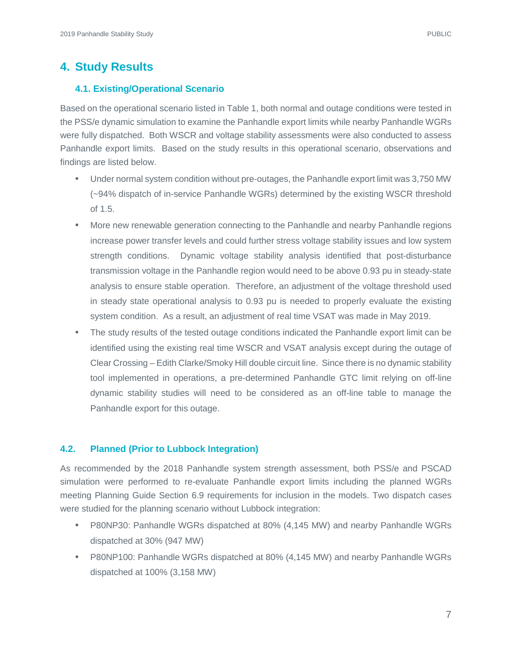### <span id="page-9-0"></span>**4. Study Results**

#### <span id="page-9-1"></span>**4.1. Existing/Operational Scenario**

Based on the operational scenario listed in Table 1, both normal and outage conditions were tested in the PSS/e dynamic simulation to examine the Panhandle export limits while nearby Panhandle WGRs were fully dispatched. Both WSCR and voltage stability assessments were also conducted to assess Panhandle export limits. Based on the study results in this operational scenario, observations and findings are listed below.

- Under normal system condition without pre-outages, the Panhandle export limit was 3,750 MW (~94% dispatch of in-service Panhandle WGRs) determined by the existing WSCR threshold of 1.5.
- More new renewable generation connecting to the Panhandle and nearby Panhandle regions increase power transfer levels and could further stress voltage stability issues and low system strength conditions. Dynamic voltage stability analysis identified that post-disturbance transmission voltage in the Panhandle region would need to be above 0.93 pu in steady-state analysis to ensure stable operation. Therefore, an adjustment of the voltage threshold used in steady state operational analysis to 0.93 pu is needed to properly evaluate the existing system condition. As a result, an adjustment of real time VSAT was made in May 2019.
- The study results of the tested outage conditions indicated the Panhandle export limit can be identified using the existing real time WSCR and VSAT analysis except during the outage of Clear Crossing – Edith Clarke/Smoky Hill double circuit line. Since there is no dynamic stability tool implemented in operations, a pre-determined Panhandle GTC limit relying on off-line dynamic stability studies will need to be considered as an off-line table to manage the Panhandle export for this outage.

#### <span id="page-9-2"></span>**4.2. Planned (Prior to Lubbock Integration)**

As recommended by the 2018 Panhandle system strength assessment, both PSS/e and PSCAD simulation were performed to re-evaluate Panhandle export limits including the planned WGRs meeting Planning Guide Section 6.9 requirements for inclusion in the models. Two dispatch cases were studied for the planning scenario without Lubbock integration:

- P80NP30: Panhandle WGRs dispatched at 80% (4,145 MW) and nearby Panhandle WGRs dispatched at 30% (947 MW)
- P80NP100: Panhandle WGRs dispatched at 80% (4,145 MW) and nearby Panhandle WGRs dispatched at 100% (3,158 MW)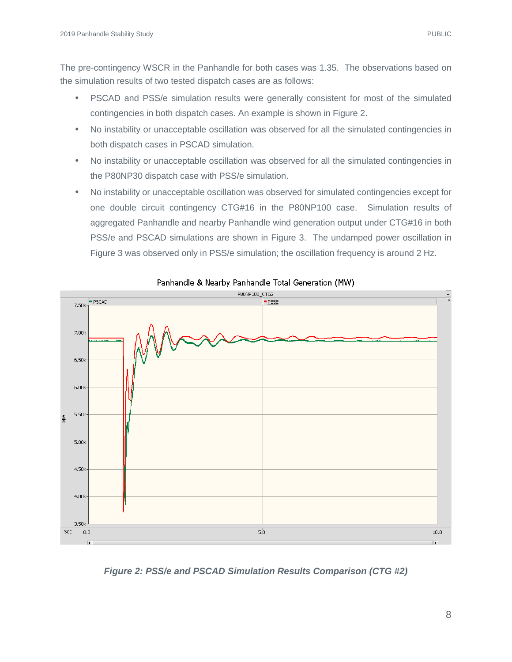- PSCAD and PSS/e simulation results were generally consistent for most of the simulated contingencies in both dispatch cases. An example is shown in Figure 2.
- No instability or unacceptable oscillation was observed for all the simulated contingencies in both dispatch cases in PSCAD simulation.
- No instability or unacceptable oscillation was observed for all the simulated contingencies in the P80NP30 dispatch case with PSS/e simulation.
- No instability or unacceptable oscillation was observed for simulated contingencies except for one double circuit contingency CTG#16 in the P80NP100 case. Simulation results of aggregated Panhandle and nearby Panhandle wind generation output under CTG#16 in both PSS/e and PSCAD simulations are shown in Figure 3. The undamped power oscillation in Figure 3 was observed only in PSS/e simulation; the oscillation frequency is around 2 Hz.



#### Panhandle & Nearby Panhandle Total Generation (MW)

*Figure 2: PSS/e and PSCAD Simulation Results Comparison (CTG #2)*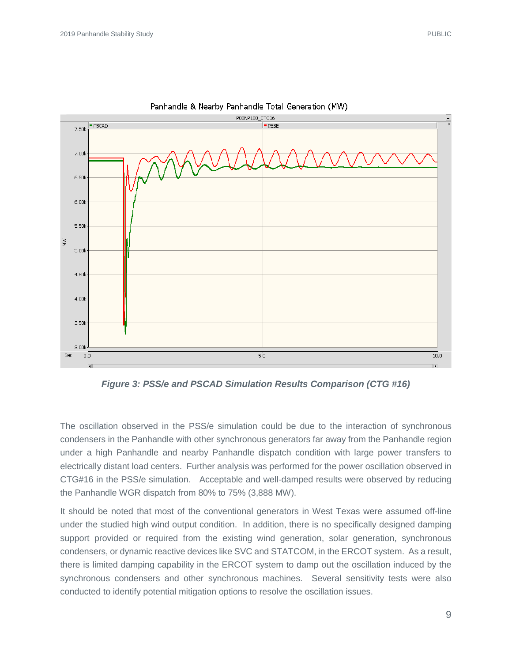

Panhandle & Nearby Panhandle Total Generation (MW)

*Figure 3: PSS/e and PSCAD Simulation Results Comparison (CTG #16)*

The oscillation observed in the PSS/e simulation could be due to the interaction of synchronous condensers in the Panhandle with other synchronous generators far away from the Panhandle region under a high Panhandle and nearby Panhandle dispatch condition with large power transfers to electrically distant load centers. Further analysis was performed for the power oscillation observed in CTG#16 in the PSS/e simulation. Acceptable and well-damped results were observed by reducing the Panhandle WGR dispatch from 80% to 75% (3,888 MW).

It should be noted that most of the conventional generators in West Texas were assumed off-line under the studied high wind output condition. In addition, there is no specifically designed damping support provided or required from the existing wind generation, solar generation, synchronous condensers, or dynamic reactive devices like SVC and STATCOM, in the ERCOT system. As a result, there is limited damping capability in the ERCOT system to damp out the oscillation induced by the synchronous condensers and other synchronous machines. Several sensitivity tests were also conducted to identify potential mitigation options to resolve the oscillation issues.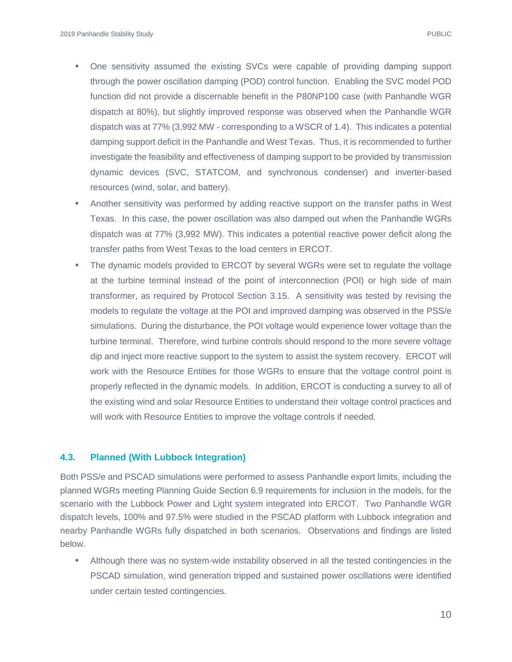- One sensitivity assumed the existing SVCs were capable of providing damping support through the power oscillation damping (POD) control function. Enabling the SVC model POD function did not provide a discernable benefit in the P80NP100 case (with Panhandle WGR dispatch at 80%), but slightly improved response was observed when the Panhandle WGR dispatch was at 77% (3,992 MW - corresponding to a WSCR of 1.4). This indicates a potential damping support deficit in the Panhandle and West Texas. Thus, it is recommended to further investigate the feasibility and effectiveness of damping support to be provided by transmission dynamic devices (SVC, STATCOM, and synchronous condenser) and inverter-based resources (wind, solar, and battery).
- Another sensitivity was performed by adding reactive support on the transfer paths in West Texas. In this case, the power oscillation was also damped out when the Panhandle WGRs dispatch was at 77% (3,992 MW). This indicates a potential reactive power deficit along the transfer paths from West Texas to the load centers in ERCOT.
- The dynamic models provided to ERCOT by several WGRs were set to regulate the voltage at the turbine terminal instead of the point of interconnection (POI) or high side of main transformer, as required by Protocol Section 3.15. A sensitivity was tested by revising the models to regulate the voltage at the POI and improved damping was observed in the PSS/e simulations. During the disturbance, the POI voltage would experience lower voltage than the turbine terminal. Therefore, wind turbine controls should respond to the more severe voltage dip and inject more reactive support to the system to assist the system recovery. ERCOT will work with the Resource Entities for those WGRs to ensure that the voltage control point is properly reflected in the dynamic models. In addition, ERCOT is conducting a survey to all of the existing wind and solar Resource Entities to understand their voltage control practices and will work with Resource Entities to improve the voltage controls if needed.

#### <span id="page-12-0"></span>**4.3. Planned (With Lubbock Integration)**

Both PSS/e and PSCAD simulations were performed to assess Panhandle export limits, including the planned WGRs meeting Planning Guide Section 6.9 requirements for inclusion in the models, for the scenario with the Lubbock Power and Light system integrated into ERCOT. Two Panhandle WGR dispatch levels, 100% and 97.5% were studied in the PSCAD platform with Lubbock integration and nearby Panhandle WGRs fully dispatched in both scenarios. Observations and findings are listed below.

• Although there was no system-wide instability observed in all the tested contingencies in the PSCAD simulation, wind generation tripped and sustained power oscillations were identified under certain tested contingencies.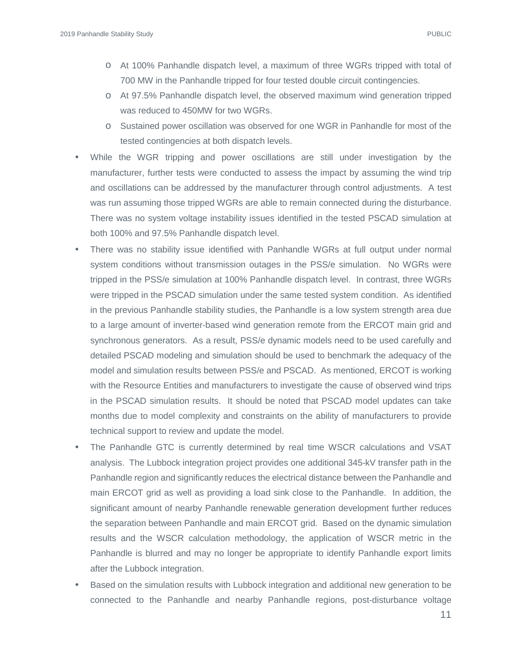- o At 100% Panhandle dispatch level, a maximum of three WGRs tripped with total of 700 MW in the Panhandle tripped for four tested double circuit contingencies.
- o At 97.5% Panhandle dispatch level, the observed maximum wind generation tripped was reduced to 450MW for two WGRs.
- o Sustained power oscillation was observed for one WGR in Panhandle for most of the tested contingencies at both dispatch levels.
- While the WGR tripping and power oscillations are still under investigation by the manufacturer, further tests were conducted to assess the impact by assuming the wind trip and oscillations can be addressed by the manufacturer through control adjustments. A test was run assuming those tripped WGRs are able to remain connected during the disturbance. There was no system voltage instability issues identified in the tested PSCAD simulation at both 100% and 97.5% Panhandle dispatch level.
- There was no stability issue identified with Panhandle WGRs at full output under normal system conditions without transmission outages in the PSS/e simulation. No WGRs were tripped in the PSS/e simulation at 100% Panhandle dispatch level. In contrast, three WGRs were tripped in the PSCAD simulation under the same tested system condition. As identified in the previous Panhandle stability studies, the Panhandle is a low system strength area due to a large amount of inverter-based wind generation remote from the ERCOT main grid and synchronous generators. As a result, PSS/e dynamic models need to be used carefully and detailed PSCAD modeling and simulation should be used to benchmark the adequacy of the model and simulation results between PSS/e and PSCAD. As mentioned, ERCOT is working with the Resource Entities and manufacturers to investigate the cause of observed wind trips in the PSCAD simulation results. It should be noted that PSCAD model updates can take months due to model complexity and constraints on the ability of manufacturers to provide technical support to review and update the model.
- The Panhandle GTC is currently determined by real time WSCR calculations and VSAT analysis. The Lubbock integration project provides one additional 345-kV transfer path in the Panhandle region and significantly reduces the electrical distance between the Panhandle and main ERCOT grid as well as providing a load sink close to the Panhandle. In addition, the significant amount of nearby Panhandle renewable generation development further reduces the separation between Panhandle and main ERCOT grid. Based on the dynamic simulation results and the WSCR calculation methodology, the application of WSCR metric in the Panhandle is blurred and may no longer be appropriate to identify Panhandle export limits after the Lubbock integration.
- Based on the simulation results with Lubbock integration and additional new generation to be connected to the Panhandle and nearby Panhandle regions, post-disturbance voltage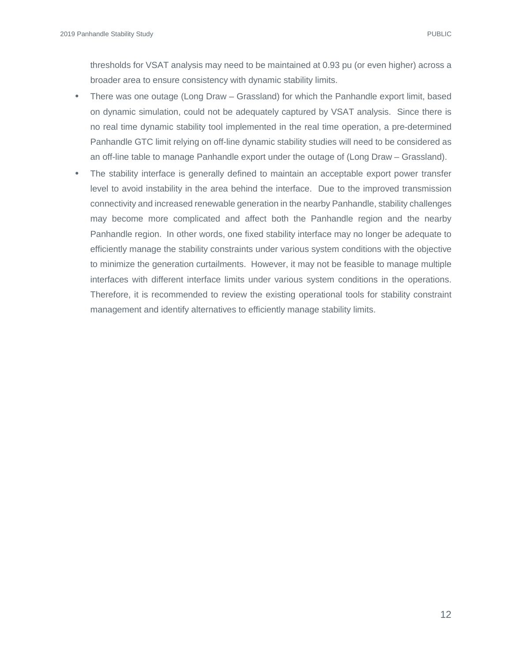thresholds for VSAT analysis may need to be maintained at 0.93 pu (or even higher) across a broader area to ensure consistency with dynamic stability limits.

- There was one outage (Long Draw Grassland) for which the Panhandle export limit, based on dynamic simulation, could not be adequately captured by VSAT analysis. Since there is no real time dynamic stability tool implemented in the real time operation, a pre-determined Panhandle GTC limit relying on off-line dynamic stability studies will need to be considered as an off-line table to manage Panhandle export under the outage of (Long Draw – Grassland).
- The stability interface is generally defined to maintain an acceptable export power transfer level to avoid instability in the area behind the interface. Due to the improved transmission connectivity and increased renewable generation in the nearby Panhandle, stability challenges may become more complicated and affect both the Panhandle region and the nearby Panhandle region. In other words, one fixed stability interface may no longer be adequate to efficiently manage the stability constraints under various system conditions with the objective to minimize the generation curtailments. However, it may not be feasible to manage multiple interfaces with different interface limits under various system conditions in the operations. Therefore, it is recommended to review the existing operational tools for stability constraint management and identify alternatives to efficiently manage stability limits.